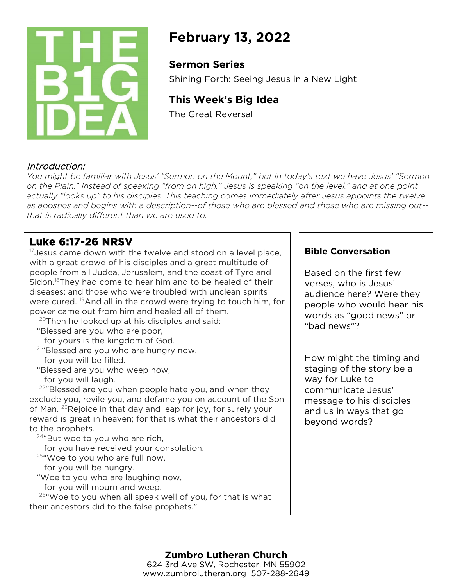

# **February 13, 2022**

### **Sermon Series**

Shining Forth: Seeing Jesus in a New Light

# **This Week's Big Idea**

The Great Reversal

### Introduction:

*You might be familiar with Jesus' "Sermon on the Mount," but in today's text we have Jesus' "Sermon on the Plain." Instead of speaking "from on high," Jesus is speaking "on the level," and at one point actually "looks up" to his disciples. This teaching comes immediately after Jesus appoints the twelve as apostles and begins with a description--of those who are blessed and those who are missing out- that is radically different than we are used to.* 

## **Luke 6:17-26 NRSV**

 $17$  Jesus came down with the twelve and stood on a level place, with a great crowd of his disciples and a great multitude of people from all Judea, Jerusalem, and the coast of Tyre and Sidon.<sup>18</sup>They had come to hear him and to be healed of their diseases; and those who were troubled with unclean spirits were cured. 19And all in the crowd were trying to touch him, for power came out from him and healed all of them.

 $20$ Then he looked up at his disciples and said: "Blessed are you who are poor,

for yours is the kingdom of God.

<sup>21</sup>"Blessed are you who are hungry now, for you will be filled.

"Blessed are you who weep now, for you will laugh.

 $22^{\circ}$  Blessed are you when people hate you, and when they exclude you, revile you, and defame you on account of the Son of Man. 23Rejoice in that day and leap for joy, for surely your reward is great in heaven; for that is what their ancestors did to the prophets.

 $24$ "But woe to you who are rich,

for you have received your consolation.

 $25$ "Woe to you who are full now,

for you will be hungry.

"Woe to you who are laughing now,

for you will mourn and weep.

26"Woe to you when all speak well of you, for that is what their ancestors did to the false prophets."

#### **Bible Conversation**

Based on the first few verses, who is Jesus' audience here? Were they people who would hear his words as "good news" or "bad news"?

How might the timing and staging of the story be a way for Luke to communicate Jesus' message to his disciples and us in ways that go beyond words?